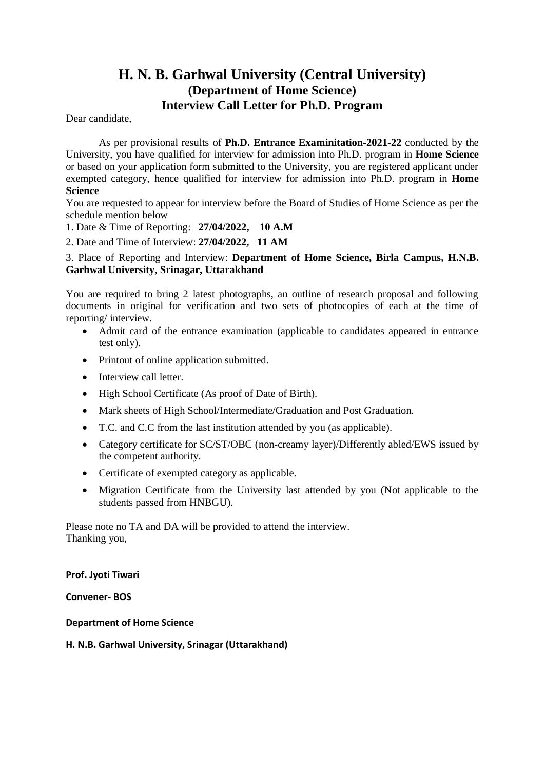### **H. N. B. Garhwal University (Central University) (Department of Home Science) Interview Call Letter for Ph.D. Program**

Dear candidate,

As per provisional results of **Ph.D. Entrance Examinitation-2021-22** conducted by the University, you have qualified for interview for admission into Ph.D. program in **Home Science** or based on your application form submitted to the University, you are registered applicant under exempted category, hence qualified for interview for admission into Ph.D. program in **Home Science**

You are requested to appear for interview before the Board of Studies of Home Science as per the schedule mention below

1. Date & Time of Reporting: **27/04/2022, 10 A.M**

2. Date and Time of Interview: **27/04/2022, 11 AM**

#### 3. Place of Reporting and Interview: **Department of Home Science, Birla Campus, H.N.B. Garhwal University, Srinagar, Uttarakhand**

You are required to bring 2 latest photographs, an outline of research proposal and following documents in original for verification and two sets of photocopies of each at the time of reporting/ interview.

- Admit card of the entrance examination (applicable to candidates appeared in entrance test only).
- Printout of online application submitted.
- Interview call letter.
- High School Certificate (As proof of Date of Birth).
- Mark sheets of High School/Intermediate/Graduation and Post Graduation.
- T.C. and C.C from the last institution attended by you (as applicable).
- Category certificate for SC/ST/OBC (non-creamy layer)/Differently abled/EWS issued by the competent authority.
- Certificate of exempted category as applicable.
- Migration Certificate from the University last attended by you (Not applicable to the students passed from HNBGU).

Please note no TA and DA will be provided to attend the interview. Thanking you,

**Prof. Jyoti Tiwari**

**Convener- BOS**

#### **Department of Home Science**

### **H. N.B. Garhwal University, Srinagar (Uttarakhand)**